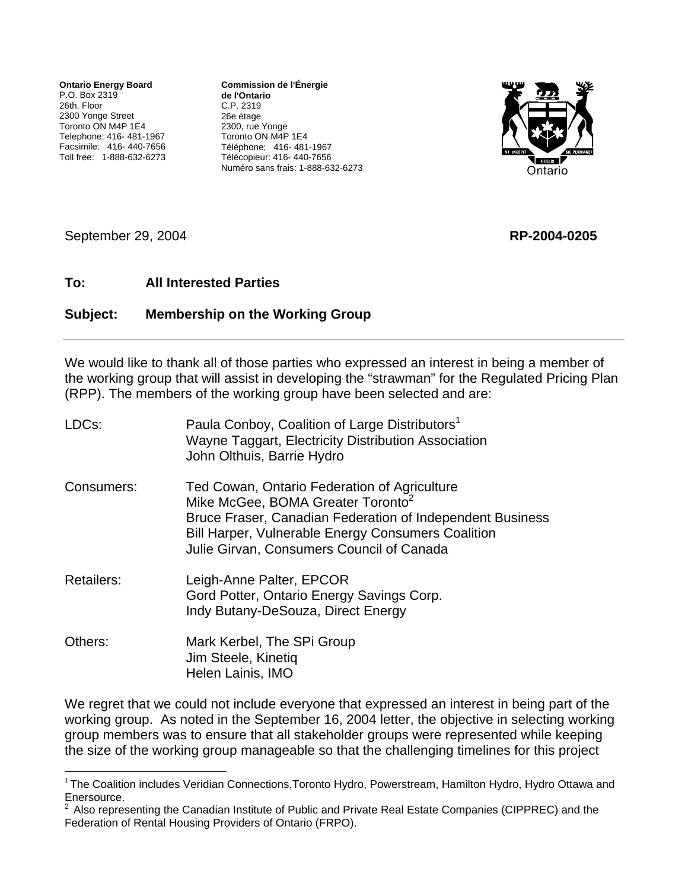**Ontario Energy Board** P.O. Box 2319 26th. Floor 2300 Yonge Street Toronto ON M4P 1E4 Telephone: 416- 481-1967 Facsimile: 416- 440-7656 Toll free: 1-888-632-6273 **Commission de l**=**Énergie de l**=**Ontario** C.P. 2319 26e étage 2300, rue Yonge Toronto ON M4P 1E4 Téléphone; 416- 481-1967 Télécopieur: 416- 440-7656 Numéro sans frais: 1-888-632-6273



September 29, 2004 **RP-2004-0205**

1

## **To: All Interested Parties**

## **Subject: Membership on the Working Group**

We would like to thank all of those parties who expressed an interest in being a member of the working group that will assist in developing the "strawman" for the Regulated Pricing Plan (RPP). The members of the working group have been selected and are:

| LDC <sub>s</sub> : | Paula Conboy, Coalition of Large Distributors <sup>1</sup><br>Wayne Taggart, Electricity Distribution Association<br>John Olthuis, Barrie Hydro                                                                                                                      |
|--------------------|----------------------------------------------------------------------------------------------------------------------------------------------------------------------------------------------------------------------------------------------------------------------|
| Consumers:         | Ted Cowan, Ontario Federation of Agriculture<br>Mike McGee, BOMA Greater Toronto <sup>2</sup><br>Bruce Fraser, Canadian Federation of Independent Business<br><b>Bill Harper, Vulnerable Energy Consumers Coalition</b><br>Julie Girvan, Consumers Council of Canada |
| <b>Retailers:</b>  | Leigh-Anne Palter, EPCOR<br>Gord Potter, Ontario Energy Savings Corp.<br>Indy Butany-DeSouza, Direct Energy                                                                                                                                                          |
| Others:            | Mark Kerbel, The SPi Group<br>Jim Steele, Kinetiq<br>Helen Lainis, IMO                                                                                                                                                                                               |

We regret that we could not include everyone that expressed an interest in being part of the working group. As noted in the September 16, 2004 letter, the objective in selecting working group members was to ensure that all stakeholder groups were represented while keeping the size of the working group manageable so that the challenging timelines for this project

<span id="page-0-0"></span><sup>&</sup>lt;sup>1</sup> The Coalition includes Veridian Connections, Toronto Hydro, Powerstream, Hamilton Hydro, Hydro Ottawa and Enersource.

<span id="page-0-1"></span> $2$  Also representing the Canadian Institute of Public and Private Real Estate Companies (CIPPREC) and the Federation of Rental Housing Providers of Ontario (FRPO).